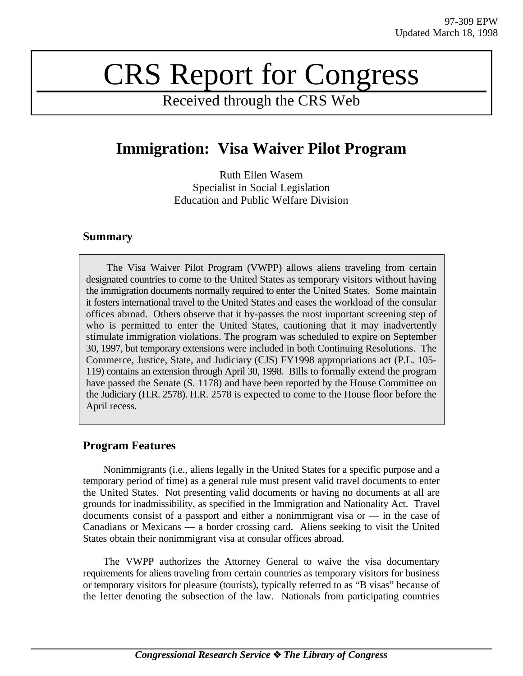# CRS Report for Congress

Received through the CRS Web

# **Immigration: Visa Waiver Pilot Program**

Ruth Ellen Wasem Specialist in Social Legislation Education and Public Welfare Division

## **Summary**

The Visa Waiver Pilot Program (VWPP) allows aliens traveling from certain designated countries to come to the United States as temporary visitors without having the immigration documents normally required to enter the United States. Some maintain it fosters international travel to the United States and eases the workload of the consular offices abroad. Others observe that it by-passes the most important screening step of who is permitted to enter the United States, cautioning that it may inadvertently stimulate immigration violations. The program was scheduled to expire on September 30, 1997, but temporary extensions were included in both Continuing Resolutions. The Commerce, Justice, State, and Judiciary (CJS) FY1998 appropriations act (P.L. 105- 119) contains an extension through April 30, 1998. Bills to formally extend the program have passed the Senate (S. 1178) and have been reported by the House Committee on the Judiciary (H.R. 2578). H.R. 2578 is expected to come to the House floor before the April recess.

# **Program Features**

Nonimmigrants (i.e., aliens legally in the United States for a specific purpose and a temporary period of time) as a general rule must present valid travel documents to enter the United States. Not presenting valid documents or having no documents at all are grounds for inadmissibility, as specified in the Immigration and Nationality Act. Travel documents consist of a passport and either a nonimmigrant visa or — in the case of Canadians or Mexicans — a border crossing card. Aliens seeking to visit the United States obtain their nonimmigrant visa at consular offices abroad.

The VWPP authorizes the Attorney General to waive the visa documentary requirements for aliens traveling from certain countries as temporary visitors for business or temporary visitors for pleasure (tourists), typically referred to as "B visas" because of the letter denoting the subsection of the law. Nationals from participating countries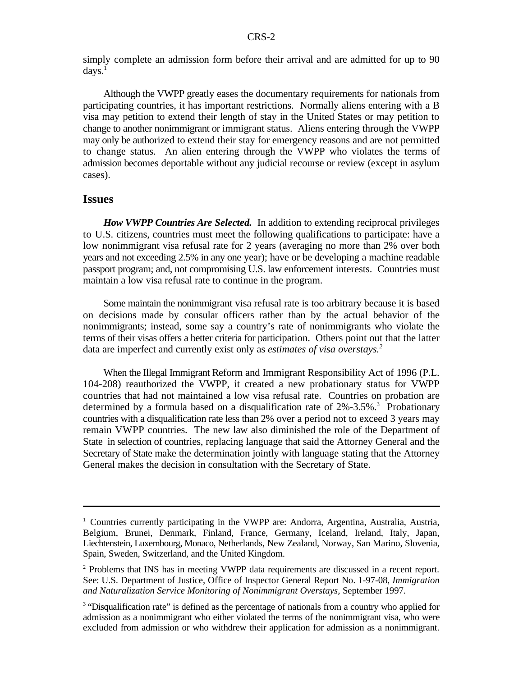simply complete an admission form before their arrival and are admitted for up to 90  $days.<sup>1</sup>$ 

Although the VWPP greatly eases the documentary requirements for nationals from participating countries, it has important restrictions. Normally aliens entering with a B visa may petition to extend their length of stay in the United States or may petition to change to another nonimmigrant or immigrant status. Aliens entering through the VWPP may only be authorized to extend their stay for emergency reasons and are not permitted to change status. An alien entering through the VWPP who violates the terms of admission becomes deportable without any judicial recourse or review (except in asylum cases).

#### **Issues**

*How VWPP Countries Are Selected.* In addition to extending reciprocal privileges to U.S. citizens, countries must meet the following qualifications to participate: have a low nonimmigrant visa refusal rate for 2 years (averaging no more than 2% over both years and not exceeding 2.5% in any one year); have or be developing a machine readable passport program; and, not compromising U.S. law enforcement interests. Countries must maintain a low visa refusal rate to continue in the program.

Some maintain the nonimmigrant visa refusal rate is too arbitrary because it is based on decisions made by consular officers rather than by the actual behavior of the nonimmigrants; instead, some say a country's rate of nonimmigrants who violate the terms of their visas offers a better criteria for participation. Others point out that the latter data are imperfect and currently exist only as *estimates of visa overstays.<sup>2</sup>*

When the Illegal Immigrant Reform and Immigrant Responsibility Act of 1996 (P.L. 104-208) reauthorized the VWPP, it created a new probationary status for VWPP countries that had not maintained a low visa refusal rate. Countries on probation are determined by a formula based on a disqualification rate of 2%-3.5%.<sup>3</sup> Probationary countries with a disqualification rate less than 2% over a period not to exceed 3 years may remain VWPP countries. The new law also diminished the role of the Department of State in selection of countries, replacing language that said the Attorney General and the Secretary of State make the determination jointly with language stating that the Attorney General makes the decision in consultation with the Secretary of State.

<sup>&</sup>lt;sup>1</sup> Countries currently participating in the VWPP are: Andorra, Argentina, Australia, Austria, Belgium, Brunei, Denmark, Finland, France, Germany, Iceland, Ireland, Italy, Japan, Liechtenstein, Luxembourg, Monaco, Netherlands, New Zealand, Norway, San Marino, Slovenia, Spain, Sweden, Switzerland, and the United Kingdom.

 $P^2$  Problems that INS has in meeting VWPP data requirements are discussed in a recent report. See: U.S. Department of Justice, Office of Inspector General Report No. 1-97-08, *Immigration and Naturalization Service Monitoring of Nonimmigrant Overstays,* September 1997.

<sup>&</sup>lt;sup>3</sup> "Disqualification rate" is defined as the percentage of nationals from a country who applied for admission as a nonimmigrant who either violated the terms of the nonimmigrant visa, who were excluded from admission or who withdrew their application for admission as a nonimmigrant.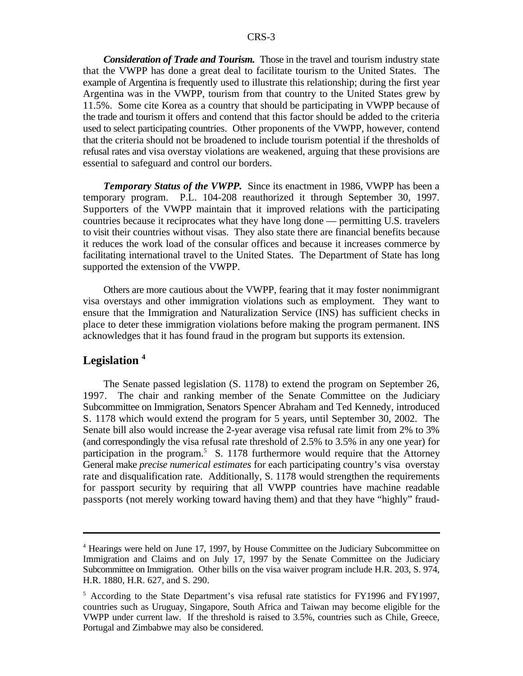*Consideration of Trade and Tourism.* Those in the travel and tourism industry state that the VWPP has done a great deal to facilitate tourism to the United States. The example of Argentina is frequently used to illustrate this relationship; during the first year Argentina was in the VWPP, tourism from that country to the United States grew by 11.5%. Some cite Korea as a country that should be participating in VWPP because of the trade and tourism it offers and contend that this factor should be added to the criteria used to select participating countries. Other proponents of the VWPP, however, contend that the criteria should not be broadened to include tourism potential if the thresholds of refusal rates and visa overstay violations are weakened, arguing that these provisions are essential to safeguard and control our borders.

*Temporary Status of the VWPP.* Since its enactment in 1986, VWPP has been a temporary program. P.L. 104-208 reauthorized it through September 30, 1997. Supporters of the VWPP maintain that it improved relations with the participating countries because it reciprocates what they have long done — permitting U.S. travelers to visit their countries without visas. They also state there are financial benefits because it reduces the work load of the consular offices and because it increases commerce by facilitating international travel to the United States. The Department of State has long supported the extension of the VWPP.

Others are more cautious about the VWPP, fearing that it may foster nonimmigrant visa overstays and other immigration violations such as employment. They want to ensure that the Immigration and Naturalization Service (INS) has sufficient checks in place to deter these immigration violations before making the program permanent. INS acknowledges that it has found fraud in the program but supports its extension.

### **Legislation <sup>4</sup>**

The Senate passed legislation (S. 1178) to extend the program on September 26, 1997. The chair and ranking member of the Senate Committee on the Judiciary Subcommittee on Immigration, Senators Spencer Abraham and Ted Kennedy, introduced S. 1178 which would extend the program for 5 years, until September 30, 2002. The Senate bill also would increase the 2-year average visa refusal rate limit from 2% to 3% (and correspondingly the visa refusal rate threshold of 2.5% to 3.5% in any one year) for participation in the program.<sup>5</sup> S. 1178 furthermore would require that the Attorney General make *precise numerical estimates* for each participating country's visa overstay rate and disqualification rate. Additionally, S. 1178 would strengthen the requirements for passport security by requiring that all VWPP countries have machine readable passports (not merely working toward having them) and that they have "highly" fraud-

<sup>&</sup>lt;sup>4</sup> Hearings were held on June 17, 1997, by House Committee on the Judiciary Subcommittee on Immigration and Claims and on July 17, 1997 by the Senate Committee on the Judiciary Subcommittee on Immigration. Other bills on the visa waiver program include H.R. 203, S. 974, H.R. 1880, H.R. 627, and S. 290.

<sup>&</sup>lt;sup>5</sup> According to the State Department's visa refusal rate statistics for FY1996 and FY1997, countries such as Uruguay, Singapore, South Africa and Taiwan may become eligible for the VWPP under current law. If the threshold is raised to 3.5%, countries such as Chile, Greece, Portugal and Zimbabwe may also be considered.